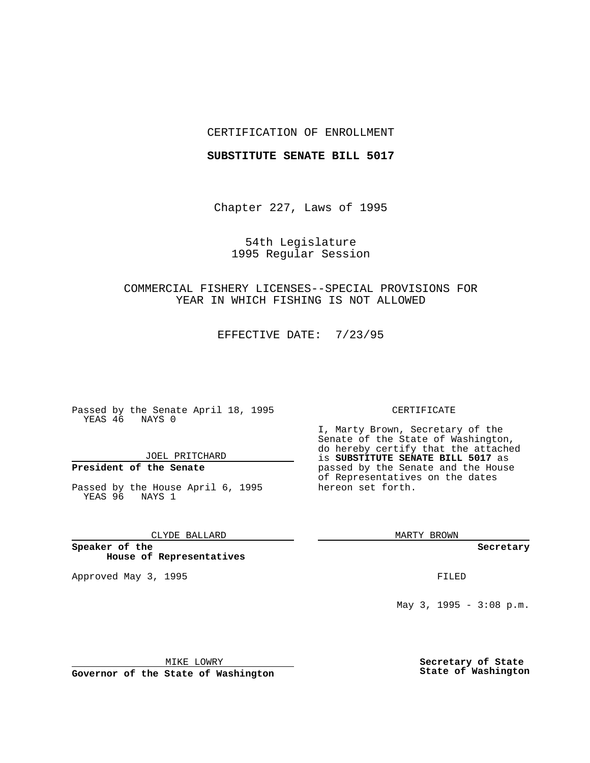## CERTIFICATION OF ENROLLMENT

### **SUBSTITUTE SENATE BILL 5017**

Chapter 227, Laws of 1995

54th Legislature 1995 Regular Session

# COMMERCIAL FISHERY LICENSES--SPECIAL PROVISIONS FOR YEAR IN WHICH FISHING IS NOT ALLOWED

EFFECTIVE DATE: 7/23/95

Passed by the Senate April 18, 1995 YEAS 46 NAYS 0

JOEL PRITCHARD

# **President of the Senate**

Passed by the House April 6, 1995 YEAS 96 NAYS 1

CLYDE BALLARD

**Speaker of the House of Representatives**

Approved May 3, 1995 **FILED** 

#### CERTIFICATE

I, Marty Brown, Secretary of the Senate of the State of Washington, do hereby certify that the attached is **SUBSTITUTE SENATE BILL 5017** as passed by the Senate and the House of Representatives on the dates hereon set forth.

MARTY BROWN

**Secretary**

May 3, 1995 -  $3:08$  p.m.

MIKE LOWRY

**Governor of the State of Washington**

**Secretary of State State of Washington**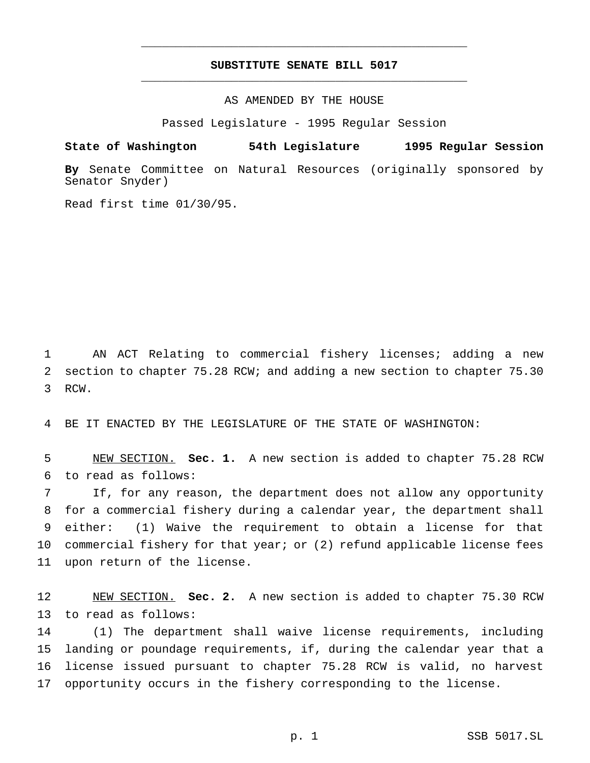## **SUBSTITUTE SENATE BILL 5017** \_\_\_\_\_\_\_\_\_\_\_\_\_\_\_\_\_\_\_\_\_\_\_\_\_\_\_\_\_\_\_\_\_\_\_\_\_\_\_\_\_\_\_\_\_\_\_

\_\_\_\_\_\_\_\_\_\_\_\_\_\_\_\_\_\_\_\_\_\_\_\_\_\_\_\_\_\_\_\_\_\_\_\_\_\_\_\_\_\_\_\_\_\_\_

## AS AMENDED BY THE HOUSE

Passed Legislature - 1995 Regular Session

#### **State of Washington 54th Legislature 1995 Regular Session**

**By** Senate Committee on Natural Resources (originally sponsored by Senator Snyder)

Read first time 01/30/95.

 AN ACT Relating to commercial fishery licenses; adding a new section to chapter 75.28 RCW; and adding a new section to chapter 75.30 RCW.

BE IT ENACTED BY THE LEGISLATURE OF THE STATE OF WASHINGTON:

 NEW SECTION. **Sec. 1.** A new section is added to chapter 75.28 RCW to read as follows:

 If, for any reason, the department does not allow any opportunity for a commercial fishery during a calendar year, the department shall either: (1) Waive the requirement to obtain a license for that commercial fishery for that year; or (2) refund applicable license fees upon return of the license.

 NEW SECTION. **Sec. 2.** A new section is added to chapter 75.30 RCW to read as follows:

 (1) The department shall waive license requirements, including landing or poundage requirements, if, during the calendar year that a license issued pursuant to chapter 75.28 RCW is valid, no harvest opportunity occurs in the fishery corresponding to the license.